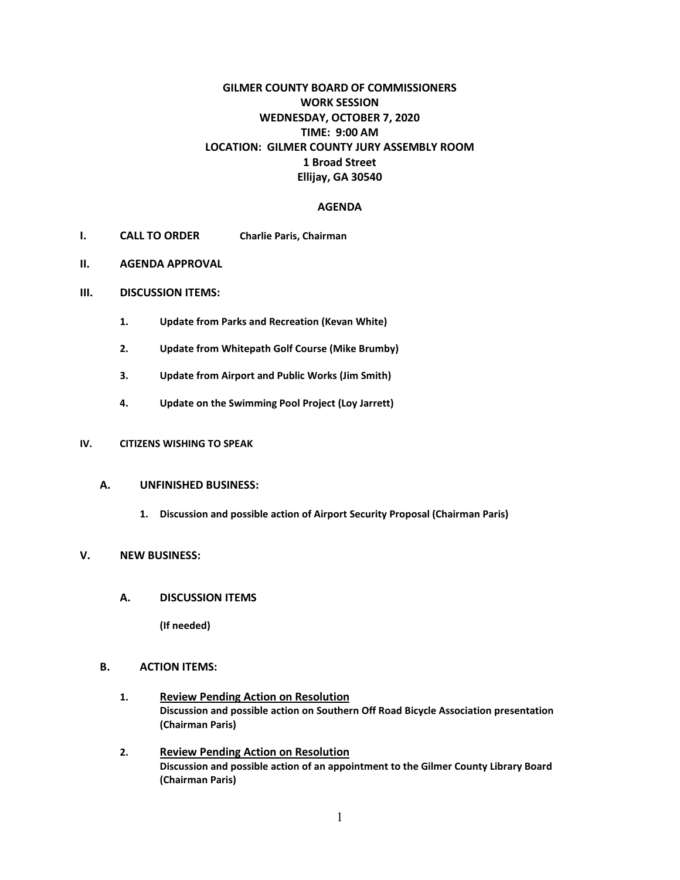# **GILMER COUNTY BOARD OF COMMISSIONERS WORK SESSION WEDNESDAY, OCTOBER 7, 2020 TIME: 9:00 AM LOCATION: GILMER COUNTY JURY ASSEMBLY ROOM 1 Broad Street Ellijay, GA 30540**

### **AGENDA**

- **I. CALL TO ORDER Charlie Paris, Chairman**
- **II. AGENDA APPROVAL**
- **III. DISCUSSION ITEMS:**
	- **1. Update from Parks and Recreation (Kevan White)**
	- **2. Update from Whitepath Golf Course (Mike Brumby)**
	- **3. Update from Airport and Public Works (Jim Smith)**
	- **4. Update on the Swimming Pool Project (Loy Jarrett)**

#### **IV. CITIZENS WISHING TO SPEAK**

### **A. UNFINISHED BUSINESS:**

**1. Discussion and possible action of Airport Security Proposal (Chairman Paris)**

#### **V. NEW BUSINESS:**

**A. DISCUSSION ITEMS**

**(If needed)**

## **B. ACTION ITEMS:**

- **1. Review Pending Action on Resolution Discussion and possible action on Southern Off Road Bicycle Association presentation (Chairman Paris)**
- **2. Review Pending Action on Resolution Discussion and possible action of an appointment to the Gilmer County Library Board (Chairman Paris)**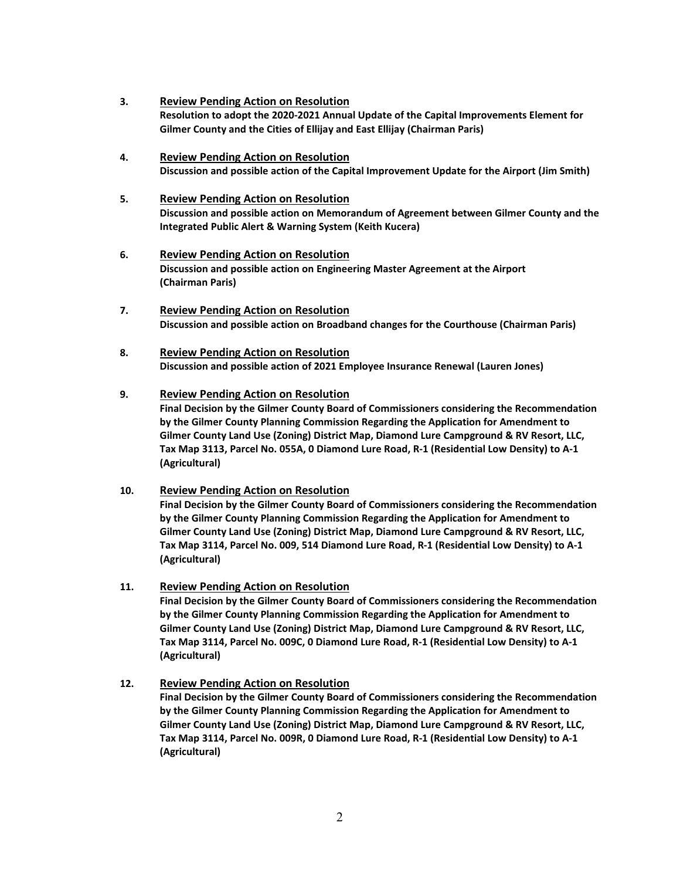- **3. Review Pending Action on Resolution Resolution to adopt the 2020-2021 Annual Update of the Capital Improvements Element for Gilmer County and the Cities of Ellijay and East Ellijay (Chairman Paris)**
- **4. Review Pending Action on Resolution Discussion and possible action of the Capital Improvement Update for the Airport (Jim Smith)**
- **5. Review Pending Action on Resolution Discussion and possible action on Memorandum of Agreement between Gilmer County and the Integrated Public Alert & Warning System (Keith Kucera)**
- **6. Review Pending Action on Resolution Discussion and possible action on Engineering Master Agreement at the Airport (Chairman Paris)**
- **7. Review Pending Action on Resolution Discussion and possible action on Broadband changes for the Courthouse (Chairman Paris)**
- **8. Review Pending Action on Resolution Discussion and possible action of 2021 Employee Insurance Renewal (Lauren Jones)**

#### **9. Review Pending Action on Resolution**

**Final Decision by the Gilmer County Board of Commissioners considering the Recommendation by the Gilmer County Planning Commission Regarding the Application for Amendment to Gilmer County Land Use (Zoning) District Map, Diamond Lure Campground & RV Resort, LLC, Tax Map 3113, Parcel No. 055A, 0 Diamond Lure Road, R-1 (Residential Low Density) to A-1 (Agricultural)**

## **10. Review Pending Action on Resolution**

**Final Decision by the Gilmer County Board of Commissioners considering the Recommendation by the Gilmer County Planning Commission Regarding the Application for Amendment to Gilmer County Land Use (Zoning) District Map, Diamond Lure Campground & RV Resort, LLC, Tax Map 3114, Parcel No. 009, 514 Diamond Lure Road, R-1 (Residential Low Density) to A-1 (Agricultural)**

#### **11. Review Pending Action on Resolution**

**Final Decision by the Gilmer County Board of Commissioners considering the Recommendation by the Gilmer County Planning Commission Regarding the Application for Amendment to Gilmer County Land Use (Zoning) District Map, Diamond Lure Campground & RV Resort, LLC, Tax Map 3114, Parcel No. 009C, 0 Diamond Lure Road, R-1 (Residential Low Density) to A-1 (Agricultural)**

#### **12. Review Pending Action on Resolution**

**Final Decision by the Gilmer County Board of Commissioners considering the Recommendation by the Gilmer County Planning Commission Regarding the Application for Amendment to Gilmer County Land Use (Zoning) District Map, Diamond Lure Campground & RV Resort, LLC, Tax Map 3114, Parcel No. 009R, 0 Diamond Lure Road, R-1 (Residential Low Density) to A-1 (Agricultural)**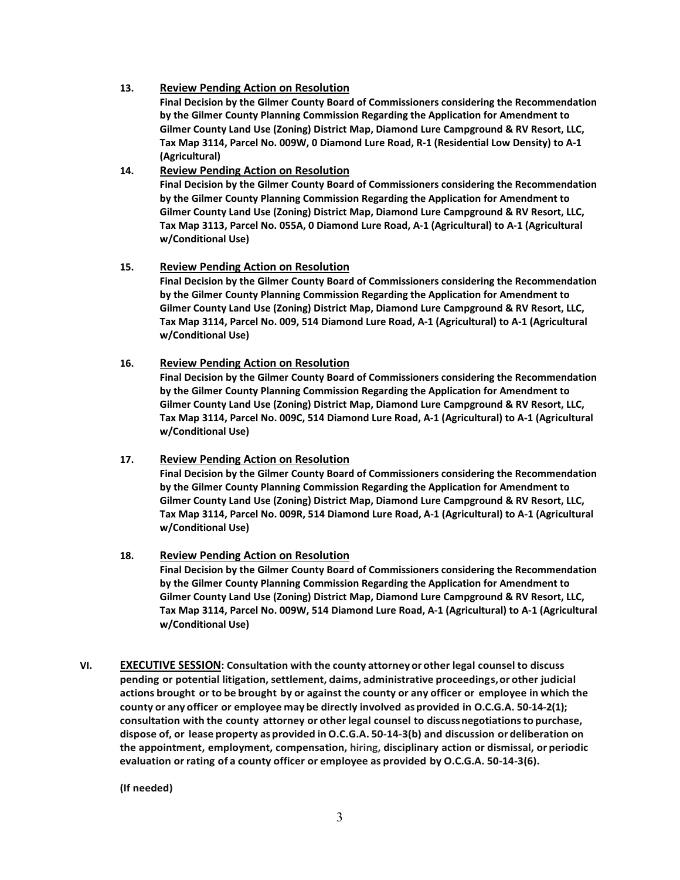### **13. Review Pending Action on Resolution**

**Final Decision by the Gilmer County Board of Commissioners considering the Recommendation by the Gilmer County Planning Commission Regarding the Application for Amendment to Gilmer County Land Use (Zoning) District Map, Diamond Lure Campground & RV Resort, LLC, Tax Map 3114, Parcel No. 009W, 0 Diamond Lure Road, R-1 (Residential Low Density) to A-1 (Agricultural)**

### **14. Review Pending Action on Resolution**

**Final Decision by the Gilmer County Board of Commissioners considering the Recommendation by the Gilmer County Planning Commission Regarding the Application for Amendment to Gilmer County Land Use (Zoning) District Map, Diamond Lure Campground & RV Resort, LLC, Tax Map 3113, Parcel No. 055A, 0 Diamond Lure Road, A-1 (Agricultural) to A-1 (Agricultural w/Conditional Use)**

### **15. Review Pending Action on Resolution**

**Final Decision by the Gilmer County Board of Commissioners considering the Recommendation by the Gilmer County Planning Commission Regarding the Application for Amendment to Gilmer County Land Use (Zoning) District Map, Diamond Lure Campground & RV Resort, LLC, Tax Map 3114, Parcel No. 009, 514 Diamond Lure Road, A-1 (Agricultural) to A-1 (Agricultural w/Conditional Use)**

### **16. Review Pending Action on Resolution**

**Final Decision by the Gilmer County Board of Commissioners considering the Recommendation by the Gilmer County Planning Commission Regarding the Application for Amendment to Gilmer County Land Use (Zoning) District Map, Diamond Lure Campground & RV Resort, LLC, Tax Map 3114, Parcel No. 009C, 514 Diamond Lure Road, A-1 (Agricultural) to A-1 (Agricultural w/Conditional Use)**

## **17. Review Pending Action on Resolution**

**Final Decision by the Gilmer County Board of Commissioners considering the Recommendation by the Gilmer County Planning Commission Regarding the Application for Amendment to Gilmer County Land Use (Zoning) District Map, Diamond Lure Campground & RV Resort, LLC, Tax Map 3114, Parcel No. 009R, 514 Diamond Lure Road, A-1 (Agricultural) to A-1 (Agricultural w/Conditional Use)**

## **18. Review Pending Action on Resolution**

**Final Decision by the Gilmer County Board of Commissioners considering the Recommendation by the Gilmer County Planning Commission Regarding the Application for Amendment to Gilmer County Land Use (Zoning) District Map, Diamond Lure Campground & RV Resort, LLC, Tax Map 3114, Parcel No. 009W, 514 Diamond Lure Road, A-1 (Agricultural) to A-1 (Agricultural w/Conditional Use)**

**VI. EXECUTIVE SESSION: Consultation with the county attorney or other legal counsel to discuss pending or potential litigation, settlement, claims, administrative proceedings,or other judicial actions brought or to be brought by or against the county or any officer or employee in which the county or any officer or employee may be directly involved asprovided in O.C.G.A. 50-14-2(1); consultation with the county attorney or otherlegal counsel to discussnegotiationsto purchase, dispose of, or lease property asprovided inO.C.G.A. 50-14-3(b) and discussion or deliberation on the appointment, employment, compensation, hiring, disciplinary action or dismissal, or periodic evaluation orrating of a county officer or employee as provided by O.C.G.A. 50-14-3(6).**

**(If needed)**